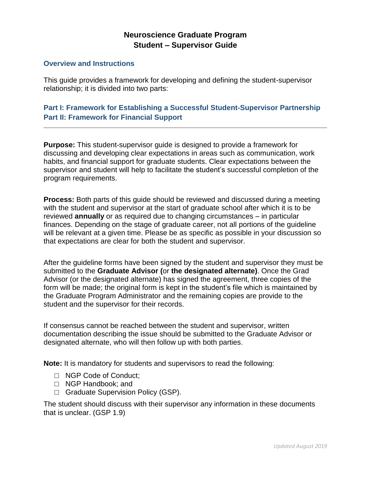# **Neuroscience Graduate Program Student – Supervisor Guide**

#### **Overview and Instructions**

This guide provides a framework for developing and defining the student-supervisor relationship; it is divided into two parts:

## **Part I: Framework for Establishing a Successful Student-Supervisor Partnership Part II: Framework for Financial Support**

**Purpose:** This student-supervisor guide is designed to provide a framework for discussing and developing clear expectations in areas such as communication, work habits, and financial support for graduate students. Clear expectations between the supervisor and student will help to facilitate the student's successful completion of the program requirements.

**Process:** Both parts of this guide should be reviewed and discussed during a meeting with the student and supervisor at the start of graduate school after which it is to be reviewed **annually** or as required due to changing circumstances – in particular finances. Depending on the stage of graduate career, not all portions of the guideline will be relevant at a given time. Please be as specific as possible in your discussion so that expectations are clear for both the student and supervisor.

After the guideline forms have been signed by the student and supervisor they must be submitted to the **Graduate Advisor (**or **the designated alternate)**. Once the Grad Advisor (or the designated alternate) has signed the agreement, three copies of the form will be made; the original form is kept in the student's file which is maintained by the Graduate Program Administrator and the remaining copies are provide to the student and the supervisor for their records.

If consensus cannot be reached between the student and supervisor, written documentation describing the issue should be submitted to the Graduate Advisor or designated alternate, who will then follow up with both parties.

**Note:** It is mandatory for students and supervisors to read the following:

- □ NGP Code of Conduct;
- □ NGP Handbook: and
- □ Graduate Supervision Policy (GSP).

The student should discuss with their supervisor any information in these documents that is unclear. (GSP 1.9)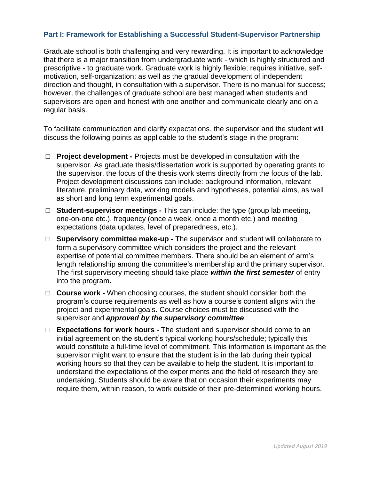## **Part I: Framework for Establishing a Successful Student-Supervisor Partnership**

Graduate school is both challenging and very rewarding. It is important to acknowledge that there is a major transition from undergraduate work - which is highly structured and prescriptive - to graduate work. Graduate work is highly flexible; requires initiative, selfmotivation, self-organization; as well as the gradual development of independent direction and thought, in consultation with a supervisor. There is no manual for success; however, the challenges of graduate school are best managed when students and supervisors are open and honest with one another and communicate clearly and on a regular basis.

To facilitate communication and clarify expectations, the supervisor and the student will discuss the following points as applicable to the student's stage in the program:

- □ **Project development** Projects must be developed in consultation with the supervisor. As graduate thesis/dissertation work is supported by operating grants to the supervisor, the focus of the thesis work stems directly from the focus of the lab. Project development discussions can include: background information, relevant literature, preliminary data, working models and hypotheses, potential aims, as well as short and long term experimental goals.
- □ **Student-supervisor meetings** This can include: the type (group lab meeting, one-on-one etc.), frequency (once a week, once a month etc.) and meeting expectations (data updates, level of preparedness, etc.).
- □ **Supervisory committee make-up -** The supervisor and student will collaborate to form a supervisory committee which considers the project and the relevant expertise of potential committee members. There should be an element of arm's length relationship among the committee's membership and the primary supervisor. The first supervisory meeting should take place *within the first semester* of entry into the program*.*
- □ **Course work** When choosing courses, the student should consider both the program's course requirements as well as how a course's content aligns with the project and experimental goals. Course choices must be discussed with the supervisor and *approved by the supervisory committee*.
- □ **Expectations for work hours -** The student and supervisor should come to an initial agreement on the student's typical working hours/schedule; typically this would constitute a full-time level of commitment. This information is important as the supervisor might want to ensure that the student is in the lab during their typical working hours so that they can be available to help the student. It is important to understand the expectations of the experiments and the field of research they are undertaking. Students should be aware that on occasion their experiments may require them, within reason, to work outside of their pre-determined working hours.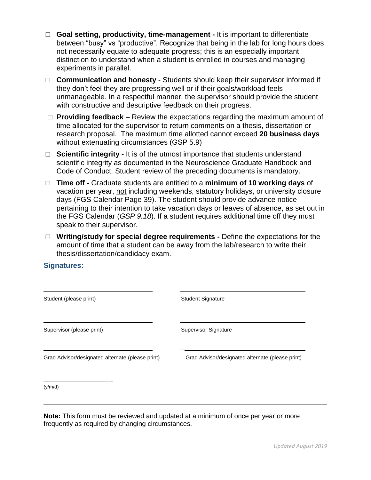- □ **Goal setting, productivity, time-management -** It is important to differentiate between "busy" vs "productive". Recognize that being in the lab for long hours does not necessarily equate to adequate progress; this is an especially important distinction to understand when a student is enrolled in courses and managing experiments in parallel.
- □ **Communication and honesty** Students should keep their supervisor informed if they don't feel they are progressing well or if their goals/workload feels unmanageable. In a respectful manner, the supervisor should provide the student with constructive and descriptive feedback on their progress.
- $\Box$  **Providing feedback** Review the expectations regarding the maximum amount of time allocated for the supervisor to return comments on a thesis, dissertation or research proposal. The maximum time allotted cannot exceed **20 business days** without extenuating circumstances (GSP 5.9)
- □ **Scientific integrity -** It is of the utmost importance that students understand scientific integrity as documented in the Neuroscience Graduate Handbook and Code of Conduct. Student review of the preceding documents is mandatory.
- □ **Time off -** Graduate students are entitled to a **minimum of 10 working days** of vacation per year, not including weekends, statutory holidays, or university closure days (FGS Calendar Page 39). The student should provide advance notice pertaining to their intention to take vacation days or leaves of absence, as set out in the FGS Calendar (*GSP 9.18*). If a student requires additional time off they must speak to their supervisor.
- □ **Writing/study for special degree requirements -** Define the expectations for the amount of time that a student can be away from the lab/research to write their thesis/dissertation/candidacy exam.

#### **Signatures:**

| Student (please print)                           | <b>Student Signature</b>                         |
|--------------------------------------------------|--------------------------------------------------|
| Supervisor (please print)                        | <b>Supervisor Signature</b>                      |
| Grad Advisor/designated alternate (please print) | Grad Advisor/designated alternate (please print) |
| (y/m/d)                                          |                                                  |

**Note:** This form must be reviewed and updated at a minimum of once per year or more frequently as required by changing circumstances.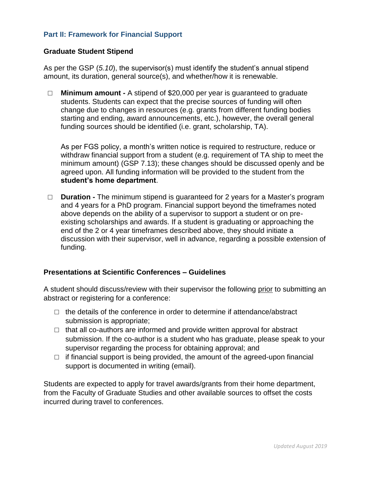## **Part II: Framework for Financial Support**

#### **Graduate Student Stipend**

As per the GSP (*5.10*), the supervisor(s) must identify the student's annual stipend amount, its duration, general source(s), and whether/how it is renewable.

□ **Minimum amount -** A stipend of \$20,000 per year is guaranteed to graduate students. Students can expect that the precise sources of funding will often change due to changes in resources (e.g. grants from different funding bodies starting and ending, award announcements, etc.), however, the overall general funding sources should be identified (i.e. grant, scholarship, TA).

As per FGS policy, a month's written notice is required to restructure, reduce or withdraw financial support from a student (e.g. requirement of TA ship to meet the minimum amount) (GSP 7.13); these changes should be discussed openly and be agreed upon. All funding information will be provided to the student from the **student's home department**.

□ **Duration -** The minimum stipend is guaranteed for 2 years for a Master's program and 4 years for a PhD program. Financial support beyond the timeframes noted above depends on the ability of a supervisor to support a student or on preexisting scholarships and awards. If a student is graduating or approaching the end of the 2 or 4 year timeframes described above, they should initiate a discussion with their supervisor, well in advance, regarding a possible extension of funding.

### **Presentations at Scientific Conferences – Guidelines**

A student should discuss/review with their supervisor the following prior to submitting an abstract or registering for a conference:

- $\Box$  the details of the conference in order to determine if attendance/abstract submission is appropriate;
- $\Box$  that all co-authors are informed and provide written approval for abstract submission. If the co-author is a student who has graduate, please speak to your supervisor regarding the process for obtaining approval; and
- $\Box$  if financial support is being provided, the amount of the agreed-upon financial support is documented in writing (email).

Students are expected to apply for travel awards/grants from their home department, from the Faculty of Graduate Studies and other available sources to offset the costs incurred during travel to conferences.